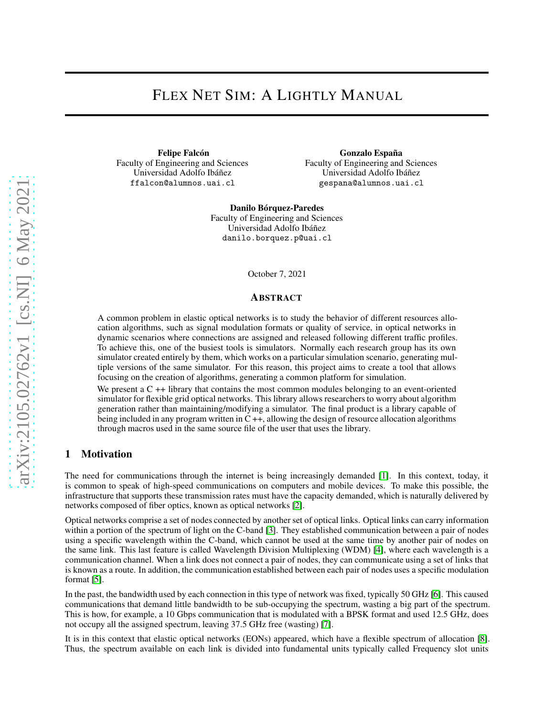# FLEX NET SIM: A LIGHTLY MANUAL

Felipe Falcón Faculty of Engineering and Sciences Universidad Adolfo Ibáñez ffalcon@alumnos.uai.cl

Gonzalo España Faculty of Engineering and Sciences Universidad Adolfo Ibáñez gespana@alumnos.uai.cl

Danilo Bórquez-Paredes Faculty of Engineering and Sciences Universidad Adolfo Ibáñez danilo.borquez.p@uai.cl

October 7, 2021

#### ABSTRACT

A common problem in elastic optical networks is to study the behavior of different resources allocation algorithms, such as signal modulation formats or quality of service, in optical networks in dynamic scenarios where connections are assigned and released following different traffic profiles. To achieve this, one of the busiest tools is simulators. Normally each research group has its own simulator created entirely by them, which works on a particular simulation scenario, generating multiple versions of the same simulator. For this reason, this project aims to create a tool that allows focusing on the creation of algorithms, generating a common platform for simulation.

We present a C ++ library that contains the most common modules belonging to an event-oriented simulator for flexible grid optical networks. This library allows researchers to worry about algorithm generation rather than maintaining/modifying a simulator. The final product is a library capable of being included in any program written in C ++, allowing the design of resource allocation algorithms through macros used in the same source file of the user that uses the library.

## 1 Motivation

The need for communications through the internet is being increasingly demanded [\[1\]](#page-7-0). In this context, today, it is common to speak of high-speed communications on computers and mobile devices. To make this possible, the infrastructure that supports these transmission rates must have the capacity demanded, which is naturally delivered by networks composed of fiber optics, known as optical networks [\[2\]](#page-7-1).

Optical networks comprise a set of nodes connected by another set of optical links. Optical links can carry information within a portion of the spectrum of light on the C-band [\[3\]](#page-7-2). They established communication between a pair of nodes using a specific wavelength within the C-band, which cannot be used at the same time by another pair of nodes on the same link. This last feature is called Wavelength Division Multiplexing (WDM) [\[4\]](#page-7-3), where each wavelength is a communication channel. When a link does not connect a pair of nodes, they can communicate using a set of links that is known as a route. In addition, the communication established between each pair of nodes uses a specific modulation format [\[5\]](#page-7-4).

In the past, the bandwidth used by each connection in this type of network was fixed, typically 50 GHz [\[6\]](#page-7-5). This caused communications that demand little bandwidth to be sub-occupying the spectrum, wasting a big part of the spectrum. This is how, for example, a 10 Gbps communication that is modulated with a BPSK format and used 12.5 GHz, does not occupy all the assigned spectrum, leaving 37.5 GHz free (wasting) [\[7\]](#page-7-6).

It is in this context that elastic optical networks (EONs) appeared, which have a flexible spectrum of allocation [\[8\]](#page-7-7). Thus, the spectrum available on each link is divided into fundamental units typically called Frequency slot units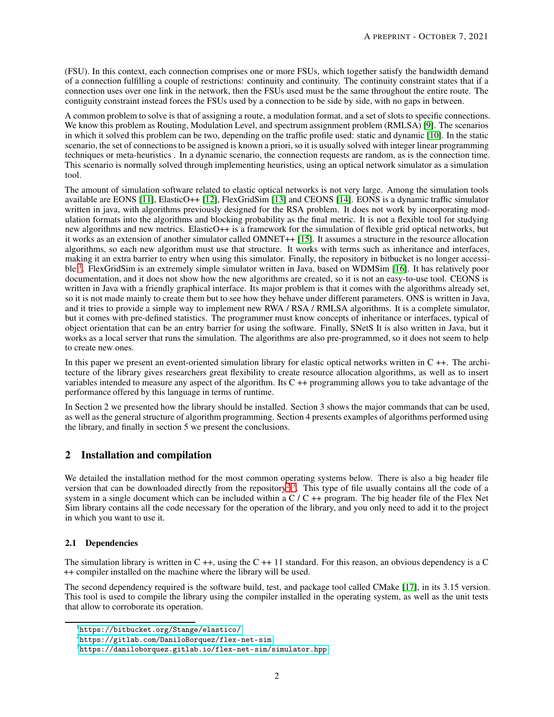(FSU). In this context, each connection comprises one or more FSUs, which together satisfy the bandwidth demand of a connection fulfilling a couple of restrictions: continuity and continuity. The continuity constraint states that if a connection uses over one link in the network, then the FSUs used must be the same throughout the entire route. The contiguity constraint instead forces the FSUs used by a connection to be side by side, with no gaps in between.

A common problem to solve is that of assigning a route, a modulation format, and a set of slots to specific connections. We know this problem as Routing, Modulation Level, and spectrum assignment problem (RMLSA) [\[9\]](#page-8-0). The scenarios in which it solved this problem can be two, depending on the traffic profile used: static and dynamic [\[10\]](#page-8-1). In the static scenario, the set of connections to be assigned is known a priori, so it is usually solved with integer linear programming techniques or meta-heuristics . In a dynamic scenario, the connection requests are random, as is the connection time. This scenario is normally solved through implementing heuristics, using an optical network simulator as a simulation tool.

The amount of simulation software related to elastic optical networks is not very large. Among the simulation tools available are EONS [\[11\]](#page-8-2), ElasticO++ [\[12\]](#page-8-3), FlexGridSim [\[13\]](#page-8-4) and CEONS [\[14\]](#page-8-5). EONS is a dynamic traffic simulator written in java, with algorithms previously designed for the RSA problem. It does not work by incorporating modulation formats into the algorithms and blocking probability as the final metric. It is not a flexible tool for studying new algorithms and new metrics. ElasticO++ is a framework for the simulation of flexible grid optical networks, but it works as an extension of another simulator called OMNET++ [\[15\]](#page-8-6). It assumes a structure in the resource allocation algorithms, so each new algorithm must use that structure. It works with terms such as inheritance and interfaces, making it an extra barrier to entry when using this simulator. Finally, the repository in bitbucket is no longer accessi-ble <sup>[1](#page-1-0)</sup>. FlexGridSim is an extremely simple simulator written in Java, based on WDMSim [\[16\]](#page-8-7). It has relatively poor documentation, and it does not show how the new algorithms are created, so it is not an easy-to-use tool. CEONS is written in Java with a friendly graphical interface. Its major problem is that it comes with the algorithms already set, so it is not made mainly to create them but to see how they behave under different parameters. ONS is written in Java, and it tries to provide a simple way to implement new RWA / RSA / RMLSA algorithms. It is a complete simulator, but it comes with pre-defined statistics. The programmer must know concepts of inheritance or interfaces, typical of object orientation that can be an entry barrier for using the software. Finally, SNetS It is also written in Java, but it works as a local server that runs the simulation. The algorithms are also pre-programmed, so it does not seem to help to create new ones.

In this paper we present an event-oriented simulation library for elastic optical networks written in C ++. The architecture of the library gives researchers great flexibility to create resource allocation algorithms, as well as to insert variables intended to measure any aspect of the algorithm. Its C ++ programming allows you to take advantage of the performance offered by this language in terms of runtime.

In Section 2 we presented how the library should be installed. Section 3 shows the major commands that can be used, as well as the general structure of algorithm programming. Section 4 presents examples of algorithms performed using the library, and finally in section 5 we present the conclusions.

# 2 Installation and compilation

We detailed the installation method for the most common operating systems below. There is also a big header file version that can be downloaded directly from the repository<sup>[2](#page-1-1),[3](#page-1-2)</sup>. This type of file usually contains all the code of a system in a single document which can be included within a  $C / C$  ++ program. The big header file of the Flex Net Sim library contains all the code necessary for the operation of the library, and you only need to add it to the project in which you want to use it.

## 2.1 Dependencies

The simulation library is written in  $C ++$ , using the  $C ++11$  standard. For this reason, an obvious dependency is a C ++ compiler installed on the machine where the library will be used.

The second dependency required is the software build, test, and package tool called CMake [\[17\]](#page-8-8), in its 3.15 version. This tool is used to compile the library using the compiler installed in the operating system, as well as the unit tests that allow to corroborate its operation.

<sup>1</sup> [https://bitbucket.org/Stange/elastico/](https://bitbucket.org/Stange/elastico/ )

<span id="page-1-0"></span> $^{2}$ <https://gitlab.com/DaniloBorquez/flex-net-sim>

<span id="page-1-2"></span><span id="page-1-1"></span> $^3$ <https://daniloborquez.gitlab.io/flex-net-sim/simulator.hpp>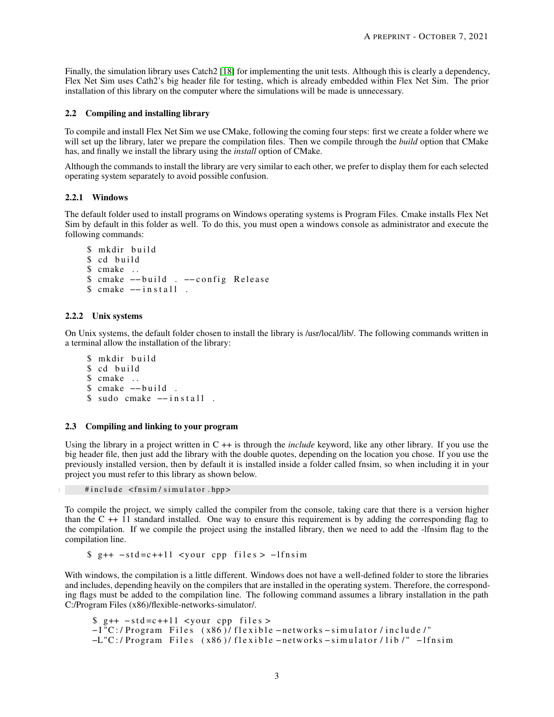Finally, the simulation library uses Catch2 [\[18\]](#page-8-9) for implementing the unit tests. Although this is clearly a dependency, Flex Net Sim uses Cath2's big header file for testing, which is already embedded within Flex Net Sim. The prior installation of this library on the computer where the simulations will be made is unnecessary.

## 2.2 Compiling and installing library

To compile and install Flex Net Sim we use CMake, following the coming four steps: first we create a folder where we will set up the library, later we prepare the compilation files. Then we compile through the *build* option that CMake has, and finally we install the library using the *install* option of CMake.

Although the commands to install the library are very similar to each other, we prefer to display them for each selected operating system separately to avoid possible confusion.

## 2.2.1 Windows

The default folder used to install programs on Windows operating systems is Program Files. Cmake installs Flex Net Sim by default in this folder as well. To do this, you must open a windows console as administrator and execute the following commands:

```
$ mkdir build
$ cd build
$ cmake . .
$ cmake --build . --config Release
$ cmake - in stall.
```
#### 2.2.2 Unix systems

On Unix systems, the default folder chosen to install the library is /usr/local/lib/. The following commands written in a terminal allow the installation of the library:

```
$ mkdir build
$ cd build
$ cmake . .
$ cmake --build.
$ sudo cmake -- in stall.
```
#### 2.3 Compiling and linking to your program

Using the library in a project written in C ++ is through the *include* keyword, like any other library. If you use the big header file, then just add the library with the double quotes, depending on the location you chose. If you use the previously installed version, then by default it is installed inside a folder called fnsim, so when including it in your project you must refer to this library as shown below.

#include <fnsim/simulator.hpp>

To compile the project, we simply called the compiler from the console, taking care that there is a version higher than the C ++ 11 standard installed. One way to ensure this requirement is by adding the corresponding flag to the compilation. If we compile the project using the installed library, then we need to add the -lfnsim flag to the compilation line.

 $$ g++ - std=c++11 <$ your cpp files >  $-I$ fnsim

With windows, the compilation is a little different. Windows does not have a well-defined folder to store the libraries and includes, depending heavily on the compilers that are installed in the operating system. Therefore, the corresponding flags must be added to the compilation line. The following command assumes a library installation in the path C:/Program Files (x86)/flexible-networks-simulator/.

```
\text{\$} g++ -std=c++11 <your cpp files >
−I "C:/ Program Files (x86)/ flexible –networks – simulator/include/"
−L"C:/Program Files (x86)/flexible – networks – simulator/lib /" – lfnsim
```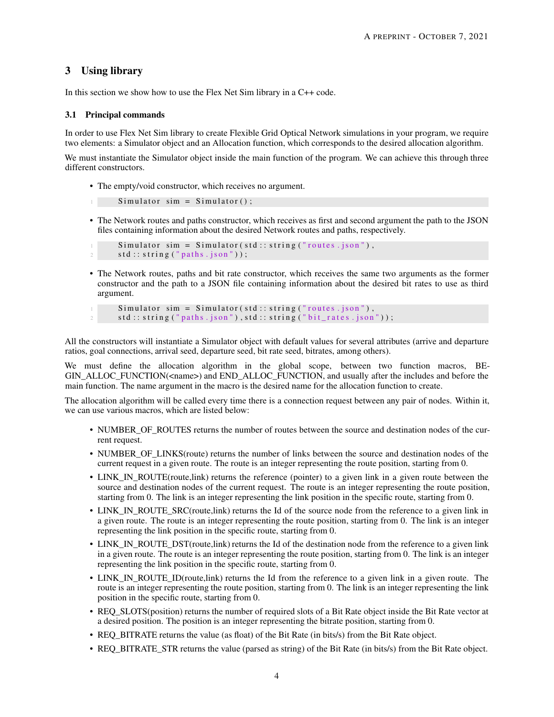# 3 Using library

In this section we show how to use the Flex Net Sim library in a C++ code.

## 3.1 Principal commands

In order to use Flex Net Sim library to create Flexible Grid Optical Network simulations in your program, we require two elements: a Simulator object and an Allocation function, which corresponds to the desired allocation algorithm.

We must instantiate the Simulator object inside the main function of the program. We can achieve this through three different constructors.

• The empty/void constructor, which receives no argument.

```
1 Simulator sim = Simulator();
```
• The Network routes and paths constructor, which receives as first and second argument the path to the JSON files containing information about the desired Network routes and paths, respectively.

```
Simulator \sim sim = Simulator (std::string("routers.ison").std :: string("paths . json"));
```
• The Network routes, paths and bit rate constructor, which receives the same two arguments as the former constructor and the path to a JSON file containing information about the desired bit rates to use as third argument.

```
Simulator \, sim = Simulator (std::string ("routes.json"),std::string("paths.jpg , json"), std::string("bit\_rates.jpg");
```
All the constructors will instantiate a Simulator object with default values for several attributes (arrive and departure ratios, goal connections, arrival seed, departure seed, bit rate seed, bitrates, among others).

We must define the allocation algorithm in the global scope, between two function macros, BE-GIN ALLOC FUNCTION(<name>) and END ALLOC FUNCTION, and usually after the includes and before the main function. The name argument in the macro is the desired name for the allocation function to create.

The allocation algorithm will be called every time there is a connection request between any pair of nodes. Within it, we can use various macros, which are listed below:

- NUMBER OF ROUTES returns the number of routes between the source and destination nodes of the current request.
- NUMBER\_OF\_LINKS(route) returns the number of links between the source and destination nodes of the current request in a given route. The route is an integer representing the route position, starting from 0.
- LINK\_IN\_ROUTE(route,link) returns the reference (pointer) to a given link in a given route between the source and destination nodes of the current request. The route is an integer representing the route position, starting from 0. The link is an integer representing the link position in the specific route, starting from 0.
- LINK\_IN\_ROUTE\_SRC(route,link) returns the Id of the source node from the reference to a given link in a given route. The route is an integer representing the route position, starting from 0. The link is an integer representing the link position in the specific route, starting from 0.
- LINK\_IN\_ROUTE\_DST(route,link) returns the Id of the destination node from the reference to a given link in a given route. The route is an integer representing the route position, starting from 0. The link is an integer representing the link position in the specific route, starting from 0.
- LINK\_IN\_ROUTE\_ID(route,link) returns the Id from the reference to a given link in a given route. The route is an integer representing the route position, starting from 0. The link is an integer representing the link position in the specific route, starting from 0.
- REQ SLOTS(position) returns the number of required slots of a Bit Rate object inside the Bit Rate vector at a desired position. The position is an integer representing the bitrate position, starting from 0.
- REQ\_BITRATE returns the value (as float) of the Bit Rate (in bits/s) from the Bit Rate object.
- REQ BITRATE STR returns the value (parsed as string) of the Bit Rate (in bits/s) from the Bit Rate object.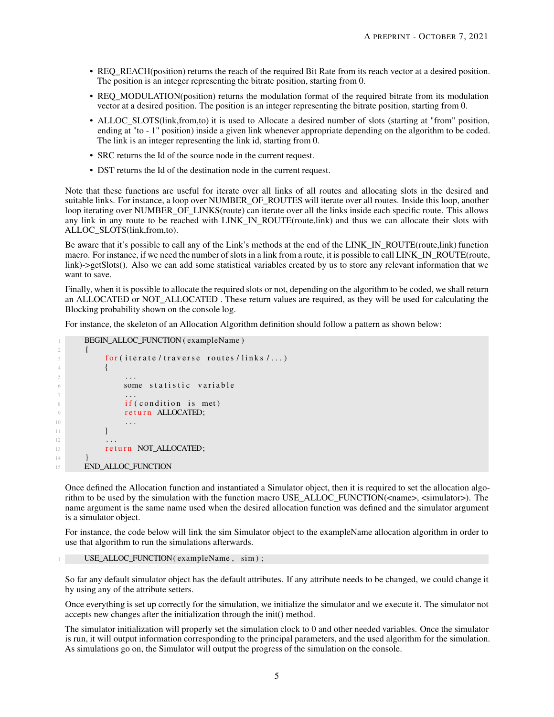- REQ\_REACH(position) returns the reach of the required Bit Rate from its reach vector at a desired position. The position is an integer representing the bitrate position, starting from 0.
- REO MODULATION(position) returns the modulation format of the required bitrate from its modulation vector at a desired position. The position is an integer representing the bitrate position, starting from 0.
- ALLOC SLOTS(link,from,to) it is used to Allocate a desired number of slots (starting at "from" position, ending at "to - 1" position) inside a given link whenever appropriate depending on the algorithm to be coded. The link is an integer representing the link id, starting from 0.
- SRC returns the Id of the source node in the current request.
- DST returns the Id of the destination node in the current request.

Note that these functions are useful for iterate over all links of all routes and allocating slots in the desired and suitable links. For instance, a loop over NUMBER\_OF\_ROUTES will iterate over all routes. Inside this loop, another loop iterating over NUMBER OF LINKS(route) can iterate over all the links inside each specific route. This allows any link in any route to be reached with LINK\_IN\_ROUTE(route,link) and thus we can allocate their slots with ALLOC\_SLOTS(link,from,to).

Be aware that it's possible to call any of the Link's methods at the end of the LINK\_IN\_ROUTE(route,link) function macro. For instance, if we need the number of slots in a link from a route, it is possible to call LINK\_IN\_ROUTE(route, link)->getSlots(). Also we can add some statistical variables created by us to store any relevant information that we want to save.

Finally, when it is possible to allocate the required slots or not, depending on the algorithm to be coded, we shall return an ALLOCATED or NOT\_ALLOCATED . These return values are required, as they will be used for calculating the Blocking probability shown on the console log.

For instance, the skeleton of an Allocation Algorithm definition should follow a pattern as shown below:

```
BEGIN_ALLOC_FUNCTION ( exampleName )
2 \left| \right| {
\mathfrak{g} for (iterate / traverse routes / links /...)
4 \left\{\right.} \left.\right.5 . . .
6 some statistic variable
7 . . .
8 if (condition is met)
9 return ALLOCATED;
10 . . .
\begin{array}{ccc} 11 & & & \end{array}12 ...
13 return NOT_ALLOCATED;
1415 END_ALLOC_FUNCTION
```
Once defined the Allocation function and instantiated a Simulator object, then it is required to set the allocation algorithm to be used by the simulation with the function macro USE\_ALLOC\_FUNCTION(<name>, <simulator>). The name argument is the same name used when the desired allocation function was defined and the simulator argument is a simulator object.

For instance, the code below will link the sim Simulator object to the exampleName allocation algorithm in order to use that algorithm to run the simulations afterwards.

USE\_ALLOC\_FUNCTION ( exampleName, sim ) ;

So far any default simulator object has the default attributes. If any attribute needs to be changed, we could change it by using any of the attribute setters.

Once everything is set up correctly for the simulation, we initialize the simulator and we execute it. The simulator not accepts new changes after the initialization through the init() method.

The simulator initialization will properly set the simulation clock to 0 and other needed variables. Once the simulator is run, it will output information corresponding to the principal parameters, and the used algorithm for the simulation. As simulations go on, the Simulator will output the progress of the simulation on the console.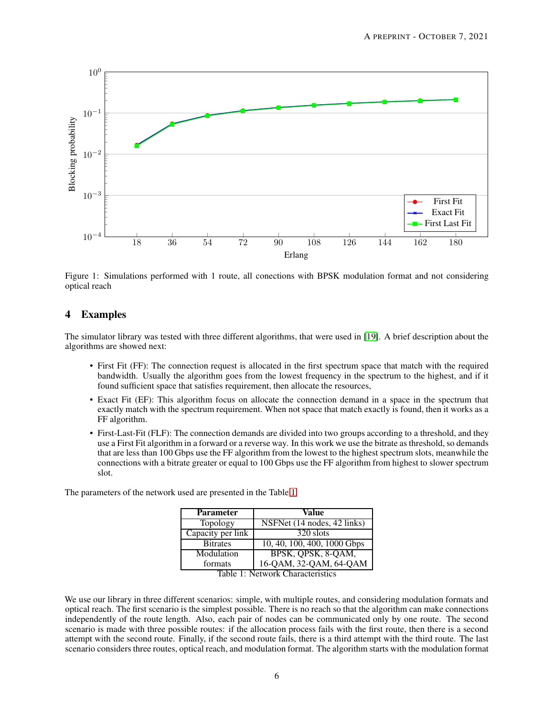

Figure 1: Simulations performed with 1 route, all conections with BPSK modulation format and not considering optical reach

## 4 Examples

The simulator library was tested with three different algorithms, that were used in [\[19\]](#page-8-10). A brief description about the algorithms are showed next:

- First Fit (FF): The connection request is allocated in the first spectrum space that match with the required bandwidth. Usually the algorithm goes from the lowest frequency in the spectrum to the highest, and if it found sufficient space that satisfies requirement, then allocate the resources,
- Exact Fit (EF): This algorithm focus on allocate the connection demand in a space in the spectrum that exactly match with the spectrum requirement. When not space that match exactly is found, then it works as a FF algorithm.
- First-Last-Fit (FLF): The connection demands are divided into two groups according to a threshold, and they use a First Fit algorithm in a forward or a reverse way. In this work we use the bitrate as threshold, so demands that are less than 100 Gbps use the FF algorithm from the lowest to the highest spectrum slots, meanwhile the connections with a bitrate greater or equal to 100 Gbps use the FF algorithm from highest to slower spectrum slot.

The parameters of the network used are presented in the Table [1:](#page-5-0)

| <b>Parameter</b>  | Value                                                                           |
|-------------------|---------------------------------------------------------------------------------|
| Topology          | NSFNet (14 nodes, 42 links)                                                     |
| Capacity per link | 320 slots                                                                       |
| <b>Bitrates</b>   | $10, 40, 100, 400, 1000$ Gbps                                                   |
| Modulation        | BPSK, QPSK, 8-QAM,                                                              |
| formats           | 16-QAM, 32-QAM, 64-QAM<br>$T_{\rm e}$ k l $\sim$ 1. Materials Chance tenistics. |

<span id="page-5-0"></span>Table 1: Network Characteristics

We use our library in three different scenarios: simple, with multiple routes, and considering modulation formats and optical reach. The first scenario is the simplest possible. There is no reach so that the algorithm can make connections independently of the route length. Also, each pair of nodes can be communicated only by one route. The second scenario is made with three possible routes: if the allocation process fails with the first route, then there is a second attempt with the second route. Finally, if the second route fails, there is a third attempt with the third route. The last scenario considers three routes, optical reach, and modulation format. The algorithm starts with the modulation format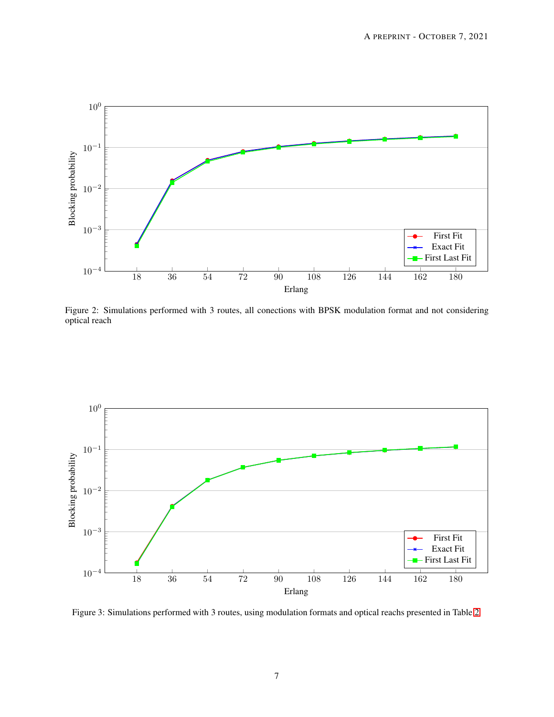

Figure 2: Simulations performed with 3 routes, all conections with BPSK modulation format and not considering optical reach



Figure 3: Simulations performed with 3 routes, using modulation formats and optical reachs presented in Table [2](#page-7-8)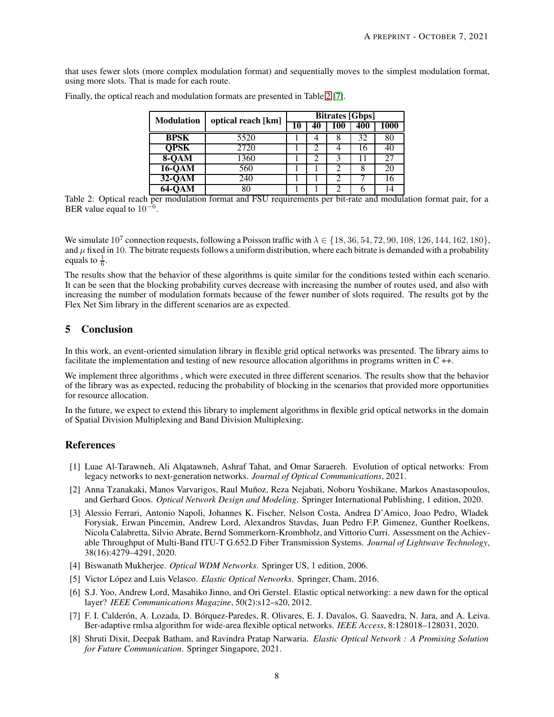that uses fewer slots (more complex modulation format) and sequentially moves to the simplest modulation format, using more slots. That is made for each route.

| <b>Modulation</b> | optical reach [km] | <b>Bitrates [Gbps]</b> |    |     |     |      |
|-------------------|--------------------|------------------------|----|-----|-----|------|
|                   |                    | 10                     | 40 | 100 | 400 | 1000 |
| <b>BPSK</b>       | 5520               |                        |    |     | 32  | 80   |
| <b>QPSK</b>       | 2720               |                        |    |     | 16  | 40   |
| $8-QAM$           | 1360               |                        | ာ  | 2   | 11  | 27   |
| $16-QAM$          | 560                |                        |    |     |     | 20   |
| $32-0AM$          | 240                |                        |    |     |     | 16   |
| 64-OAM            | 80                 |                        |    |     |     | 14   |

Finally, the optical reach and modulation formats are presented in Table [2](#page-7-8) [\[7\]](#page-7-6).

<span id="page-7-8"></span>Table 2: Optical reach per modulation format and FSU requirements per bit-rate and modulation format pair, for a BER value equal to  $10^{-6}$ .

We simulate 10<sup>7</sup> connection requests, following a Poisson traffic with  $\lambda \in \{18, 36, 54, 72, 90, 108, 126, 144, 162, 180\}$ , and  $\mu$  fixed in 10. The bitrate requests follows a uniform distribution, where each bitrate is demanded with a probability equals to  $\frac{1}{6}$ .

The results show that the behavior of these algorithms is quite similar for the conditions tested within each scenario. It can be seen that the blocking probability curves decrease with increasing the number of routes used, and also with increasing the number of modulation formats because of the fewer number of slots required. The results got by the Flex Net Sim library in the different scenarios are as expected.

# 5 Conclusion

In this work, an event-oriented simulation library in flexible grid optical networks was presented. The library aims to facilitate the implementation and testing of new resource allocation algorithms in programs written in C ++.

We implement three algorithms , which were executed in three different scenarios. The results show that the behavior of the library was as expected, reducing the probability of blocking in the scenarios that provided more opportunities for resource allocation.

In the future, we expect to extend this library to implement algorithms in flexible grid optical networks in the domain of Spatial Division Multiplexing and Band Division Multiplexing.

# <span id="page-7-0"></span>References

- [1] Luae Al-Tarawneh, Ali Alqatawneh, Ashraf Tahat, and Omar Saraereh. Evolution of optical networks: From legacy networks to next-generation networks. *Journal of Optical Communications*, 2021.
- <span id="page-7-1"></span>[2] Anna Tzanakaki, Manos Varvarigos, Raul Muñoz, Reza Nejabati, Noboru Yoshikane, Markos Anastasopoulos, and Gerhard Goos. *Optical Network Design and Modeling*. Springer International Publishing, 1 edition, 2020.
- <span id="page-7-2"></span>[3] Alessio Ferrari, Antonio Napoli, Johannes K. Fischer, Nelson Costa, Andrea D'Amico, Joao Pedro, Wladek Forysiak, Erwan Pincemin, Andrew Lord, Alexandros Stavdas, Juan Pedro F.P. Gimenez, Gunther Roelkens, Nicola Calabretta, Silvio Abrate, Bernd Sommerkorn-Krombholz, and Vittorio Curri. Assessment on the Achievable Throughput of Multi-Band ITU-T G.652.D Fiber Transmission Systems. *Journal of Lightwave Technology*, 38(16):4279–4291, 2020.
- <span id="page-7-4"></span><span id="page-7-3"></span>[4] Biswanath Mukherjee. *Optical WDM Networks*. Springer US, 1 edition, 2006.
- <span id="page-7-5"></span>[5] Victor López and Luis Velasco. *Elastic Optical Networks*. Springer, Cham, 2016.
- [6] S.J. Yoo, Andrew Lord, Masahiko Jinno, and Ori Gerstel. Elastic optical networking: a new dawn for the optical layer? *IEEE Communications Magazine*, 50(2):s12–s20, 2012.
- <span id="page-7-6"></span>[7] F. I. Calderón, A. Lozada, D. Bórquez-Paredes, R. Olivares, E. J. Davalos, G. Saavedra, N. Jara, and A. Leiva. Ber-adaptive rmlsa algorithm for wide-area flexible optical networks. *IEEE Access*, 8:128018–128031, 2020.
- <span id="page-7-7"></span>[8] Shruti Dixit, Deepak Batham, and Ravindra Pratap Narwaria. *Elastic Optical Network : A Promising Solution for Future Communication*. Springer Singapore, 2021.